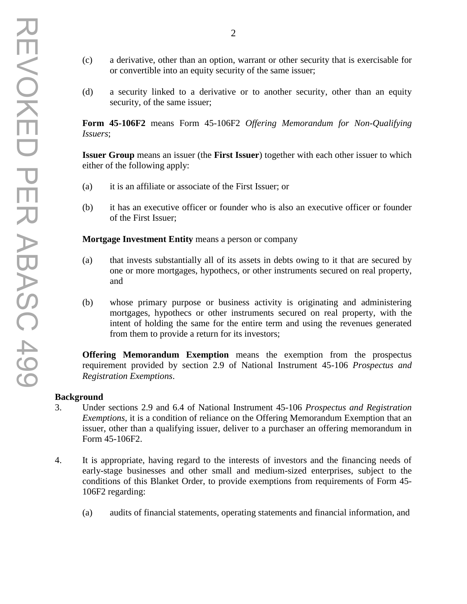- (c) a derivative, other than an option, warrant or other security that is exercisable for or convertible into an equity security of the same issuer;
- (d) a security linked to a derivative or to another security, other than an equity security, of the same issuer;

**Form 45-106F2** means Form 45-106F2 *Offering Memorandum for Non-Qualifying Issuers*;

**Issuer Group** means an issuer (the **First Issuer**) together with each other issuer to which either of the following apply:

- (a) it is an affiliate or associate of the First Issuer; or
- (b) it has an executive officer or founder who is also an executive officer or founder of the First Issuer;

**Mortgage Investment Entity** means a person or company

- (a) that invests substantially all of its assets in debts owing to it that are secured by one or more mortgages, hypothecs, or other instruments secured on real property, and
- (b) whose primary purpose or business activity is originating and administering mortgages, hypothecs or other instruments secured on real property, with the intent of holding the same for the entire term and using the revenues generated from them to provide a return for its investors;

**Offering Memorandum Exemption** means the exemption from the prospectus requirement provided by section 2.9 of National Instrument 45-106 *Prospectus and Registration Exemptions*.

#### **Background**

- 3. Under sections 2.9 and 6.4 of National Instrument 45-106 *Prospectus and Registration Exemptions*, it is a condition of reliance on the Offering Memorandum Exemption that an issuer, other than a qualifying issuer, deliver to a purchaser an offering memorandum in Form 45-106F2.
- 4. It is appropriate, having regard to the interests of investors and the financing needs of early-stage businesses and other small and medium-sized enterprises, subject to the conditions of this Blanket Order, to provide exemptions from requirements of Form 45- 106F2 regarding:
	- (a) audits of financial statements, operating statements and financial information, and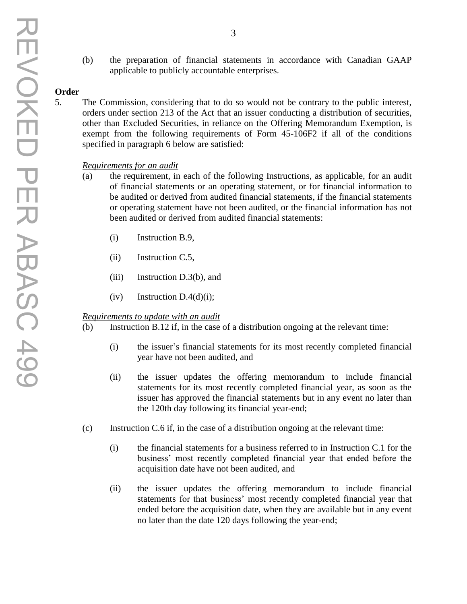# **Order**

5. The Commission, considering that to do so would not be contrary to the public interest, orders under section 213 of the Act that an issuer conducting a distribution of securities, other than Excluded Securities, in reliance on the Offering Memorandum Exemption, is exempt from the following requirements of Form 45-106F2 if all of the conditions specified in paragraph 6 below are satisfied:

## *Requirements for an audit*

- (a) the requirement, in each of the following Instructions, as applicable, for an audit of financial statements or an operating statement, or for financial information to be audited or derived from audited financial statements, if the financial statements or operating statement have not been audited, or the financial information has not been audited or derived from audited financial statements:
	- (i) Instruction B.9,
	- (ii) Instruction C.5,
	- (iii) Instruction D.3(b), and
	- $(iv)$  Instruction D.4(d)(i);

## *Requirements to update with an audit*

- (b) Instruction B.12 if, in the case of a distribution ongoing at the relevant time:
	- (i) the issuer's financial statements for its most recently completed financial year have not been audited, and
	- (ii) the issuer updates the offering memorandum to include financial statements for its most recently completed financial year, as soon as the issuer has approved the financial statements but in any event no later than the 120th day following its financial year-end;
- (c) Instruction C.6 if, in the case of a distribution ongoing at the relevant time:
	- (i) the financial statements for a business referred to in Instruction C.1 for the business' most recently completed financial year that ended before the acquisition date have not been audited, and
	- (ii) the issuer updates the offering memorandum to include financial statements for that business' most recently completed financial year that ended before the acquisition date, when they are available but in any event no later than the date 120 days following the year-end;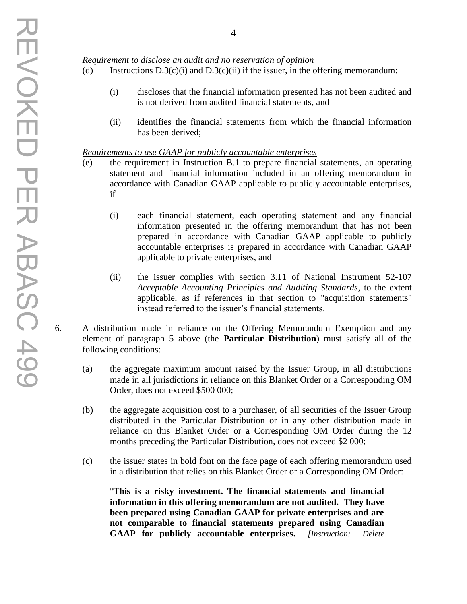#### *Requirement to disclose an audit and no reservation of opinion*

- (d) Instructions  $D.3(c)(i)$  and  $D.3(c)(ii)$  if the issuer, in the offering memorandum:
	- (i) discloses that the financial information presented has not been audited and is not derived from audited financial statements, and
	- (ii) identifies the financial statements from which the financial information has been derived;

#### *Requirements to use GAAP for publicly accountable enterprises*

- (e) the requirement in Instruction B.1 to prepare financial statements, an operating statement and financial information included in an offering memorandum in accordance with Canadian GAAP applicable to publicly accountable enterprises, if
	- (i) each financial statement, each operating statement and any financial information presented in the offering memorandum that has not been prepared in accordance with Canadian GAAP applicable to publicly accountable enterprises is prepared in accordance with Canadian GAAP applicable to private enterprises, and
	- (ii) the issuer complies with section 3.11 of National Instrument 52-107 *Acceptable Accounting Principles and Auditing Standards*, to the extent applicable, as if references in that section to "acquisition statements" instead referred to the issuer's financial statements.
- 6. A distribution made in reliance on the Offering Memorandum Exemption and any element of paragraph 5 above (the **Particular Distribution**) must satisfy all of the following conditions:
	- (a) the aggregate maximum amount raised by the Issuer Group, in all distributions made in all jurisdictions in reliance on this Blanket Order or a Corresponding OM Order, does not exceed \$500 000;
	- (b) the aggregate acquisition cost to a purchaser, of all securities of the Issuer Group distributed in the Particular Distribution or in any other distribution made in reliance on this Blanket Order or a Corresponding OM Order during the 12 months preceding the Particular Distribution, does not exceed \$2 000;
	- (c) the issuer states in bold font on the face page of each offering memorandum used in a distribution that relies on this Blanket Order or a Corresponding OM Order:

"**This is a risky investment. The financial statements and financial information in this offering memorandum are not audited. They have been prepared using Canadian GAAP for private enterprises and are not comparable to financial statements prepared using Canadian GAAP for publicly accountable enterprises.** *[Instruction: Delete*